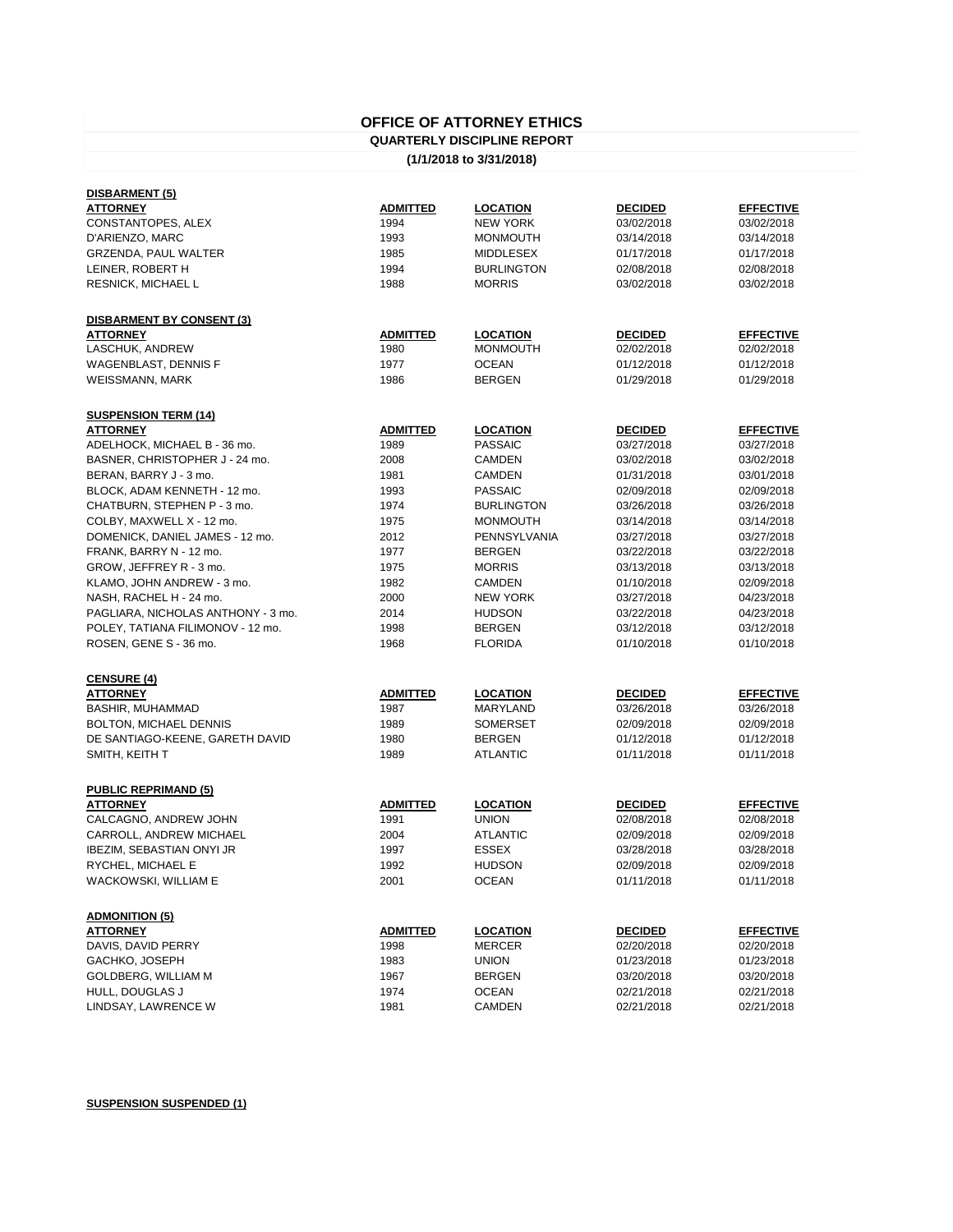## **OFFICE OF ATTORNEY ETHICS**

## **QUARTERLY DISCIPLINE REPORT**

## **(1/1/2018 to 3/31/2018)**

| DISBARMENT (5)                                 |                 |                   |                |                  |
|------------------------------------------------|-----------------|-------------------|----------------|------------------|
| <b>ATTORNEY</b>                                | <b>ADMITTED</b> | <b>LOCATION</b>   | <b>DECIDED</b> | <b>EFFECTIVE</b> |
| CONSTANTOPES, ALEX                             | 1994            | <b>NEW YORK</b>   | 03/02/2018     | 03/02/2018       |
| D'ARIENZO, MARC                                | 1993            | <b>MONMOUTH</b>   | 03/14/2018     | 03/14/2018       |
| GRZENDA, PAUL WALTER                           | 1985            | <b>MIDDLESEX</b>  | 01/17/2018     | 01/17/2018       |
| LEINER, ROBERT H                               | 1994            | <b>BURLINGTON</b> | 02/08/2018     | 02/08/2018       |
| RESNICK, MICHAEL L                             | 1988            | <b>MORRIS</b>     | 03/02/2018     | 03/02/2018       |
|                                                |                 |                   |                |                  |
| <b>DISBARMENT BY CONSENT (3)</b>               |                 |                   |                |                  |
| <b>ATTORNEY</b>                                | <b>ADMITTED</b> | <b>LOCATION</b>   | <b>DECIDED</b> | <b>EFFECTIVE</b> |
| LASCHUK, ANDREW                                | 1980            | <b>MONMOUTH</b>   | 02/02/2018     | 02/02/2018       |
| <b>WAGENBLAST, DENNIS F</b>                    | 1977            | <b>OCEAN</b>      | 01/12/2018     | 01/12/2018       |
| <b>WEISSMANN, MARK</b>                         | 1986            | <b>BERGEN</b>     | 01/29/2018     | 01/29/2018       |
|                                                |                 |                   |                |                  |
|                                                |                 |                   |                |                  |
| <b>SUSPENSION TERM (14)</b><br><b>ATTORNEY</b> | <b>ADMITTED</b> | <b>LOCATION</b>   | <b>DECIDED</b> | <b>EFFECTIVE</b> |
| ADELHOCK, MICHAEL B - 36 mo.                   | 1989            | <b>PASSAIC</b>    | 03/27/2018     | 03/27/2018       |
|                                                | 2008            | <b>CAMDEN</b>     | 03/02/2018     | 03/02/2018       |
| BASNER, CHRISTOPHER J - 24 mo.                 |                 |                   |                |                  |
| BERAN, BARRY J - 3 mo.                         | 1981            | <b>CAMDEN</b>     | 01/31/2018     | 03/01/2018       |
| BLOCK, ADAM KENNETH - 12 mo.                   | 1993            | <b>PASSAIC</b>    | 02/09/2018     | 02/09/2018       |
| CHATBURN, STEPHEN P - 3 mo.                    | 1974            | <b>BURLINGTON</b> | 03/26/2018     | 03/26/2018       |
| COLBY, MAXWELL X - 12 mo.                      | 1975            | <b>MONMOUTH</b>   | 03/14/2018     | 03/14/2018       |
| DOMENICK, DANIEL JAMES - 12 mo.                | 2012            | PENNSYLVANIA      | 03/27/2018     | 03/27/2018       |
| FRANK, BARRY N - 12 mo.                        | 1977            | <b>BERGEN</b>     | 03/22/2018     | 03/22/2018       |
| GROW, JEFFREY R - 3 mo.                        | 1975            | <b>MORRIS</b>     | 03/13/2018     | 03/13/2018       |
| KLAMO, JOHN ANDREW - 3 mo.                     | 1982            | <b>CAMDEN</b>     | 01/10/2018     | 02/09/2018       |
| NASH, RACHEL H - 24 mo.                        | 2000            | <b>NEW YORK</b>   | 03/27/2018     | 04/23/2018       |
| PAGLIARA, NICHOLAS ANTHONY - 3 mo.             | 2014            | <b>HUDSON</b>     | 03/22/2018     | 04/23/2018       |
| POLEY, TATIANA FILIMONOV - 12 mo.              | 1998            | <b>BERGEN</b>     | 03/12/2018     | 03/12/2018       |
| ROSEN, GENE S - 36 mo.                         | 1968            | <b>FLORIDA</b>    | 01/10/2018     | 01/10/2018       |
|                                                |                 |                   |                |                  |
| <b>CENSURE (4)</b>                             |                 |                   |                |                  |
| <b>ATTORNEY</b>                                | <b>ADMITTED</b> | <b>LOCATION</b>   | <b>DECIDED</b> | <b>EFFECTIVE</b> |
| <b>BASHIR, MUHAMMAD</b>                        | 1987            | <b>MARYLAND</b>   | 03/26/2018     | 03/26/2018       |
| BOLTON, MICHAEL DENNIS                         | 1989            | <b>SOMERSET</b>   | 02/09/2018     | 02/09/2018       |
| DE SANTIAGO-KEENE, GARETH DAVID                | 1980            | <b>BERGEN</b>     | 01/12/2018     | 01/12/2018       |
| SMITH, KEITH T                                 | 1989            | <b>ATLANTIC</b>   | 01/11/2018     | 01/11/2018       |
|                                                |                 |                   |                |                  |
| <b>PUBLIC REPRIMAND (5)</b>                    |                 |                   |                |                  |
| <b>ATTORNEY</b>                                | <b>ADMITTED</b> | <b>LOCATION</b>   | <b>DECIDED</b> | <b>EFFECTIVE</b> |
| CALCAGNO, ANDREW JOHN                          | 1991            | <b>UNION</b>      | 02/08/2018     | 02/08/2018       |
| CARROLL, ANDREW MICHAEL                        | 2004            | <b>ATLANTIC</b>   | 02/09/2018     | 02/09/2018       |
| <b>IBEZIM, SEBASTIAN ONYI JR</b>               | 1997            | <b>ESSEX</b>      | 03/28/2018     | 03/28/2018       |
| RYCHEL, MICHAEL E                              | 1992            | <b>HUDSON</b>     | 02/09/2018     | 02/09/2018       |
| WACKOWSKI, WILLIAM E                           | 2001            | <b>OCEAN</b>      | 01/11/2018     | 01/11/2018       |
|                                                |                 |                   |                |                  |
| <b>ADMONITION (5)</b>                          |                 |                   |                |                  |
| <b>ATTORNEY</b>                                | <b>ADMITTED</b> | <b>LOCATION</b>   | <b>DECIDED</b> | <b>EFFECTIVE</b> |
| DAVIS, DAVID PERRY                             | 1998            | <b>MERCER</b>     | 02/20/2018     | 02/20/2018       |
| GACHKO, JOSEPH                                 | 1983            | <b>UNION</b>      | 01/23/2018     | 01/23/2018       |
| GOLDBERG, WILLIAM M                            | 1967            | <b>BERGEN</b>     | 03/20/2018     | 03/20/2018       |
| HULL, DOUGLAS J                                | 1974            | <b>OCEAN</b>      | 02/21/2018     | 02/21/2018       |
| LINDSAY, LAWRENCE W                            | 1981            | <b>CAMDEN</b>     | 02/21/2018     | 02/21/2018       |
|                                                |                 |                   |                |                  |